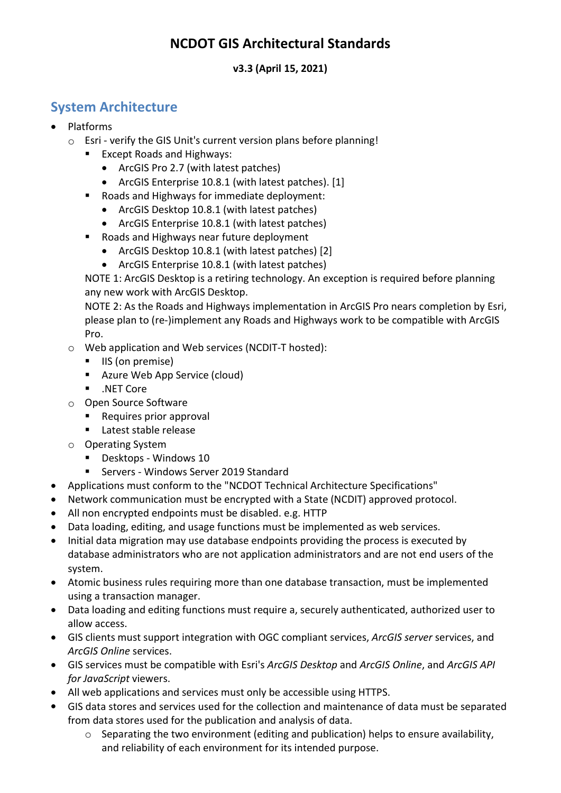# NCDOT GIS Architectural Standards

#### v3.3 (April 15, 2021)

### System Architecture

- Platforms
	- $\circ$  Esri verify the GIS Unit's current version plans before planning!
		- Except Roads and Highways:
			- ArcGIS Pro 2.7 (with latest patches)
			- ArcGIS Enterprise 10.8.1 (with latest patches). [1]
		- Roads and Highways for immediate deployment:
			- ArcGIS Desktop 10.8.1 (with latest patches)
			- ArcGIS Enterprise 10.8.1 (with latest patches)
		- Roads and Highways near future deployment
			- ArcGIS Desktop 10.8.1 (with latest patches) [2]
			- ArcGIS Enterprise 10.8.1 (with latest patches)

NOTE 1: ArcGIS Desktop is a retiring technology. An exception is required before planning any new work with ArcGIS Desktop.

NOTE 2: As the Roads and Highways implementation in ArcGIS Pro nears completion by Esri, please plan to (re-)implement any Roads and Highways work to be compatible with ArcGIS Pro.

- o Web application and Web services (NCDIT-T hosted):
	- $\blacksquare$  IIS (on premise)
	- **Azure Web App Service (cloud)**
	- .NET Core
- o Open Source Software
	- Requires prior approval
	- Latest stable release
- o Operating System
	- Desktops Windows 10
	- Servers Windows Server 2019 Standard
- Applications must conform to the "NCDOT Technical Architecture Specifications"
- Network communication must be encrypted with a State (NCDIT) approved protocol.
- All non encrypted endpoints must be disabled. e.g. HTTP
- Data loading, editing, and usage functions must be implemented as web services.
- Initial data migration may use database endpoints providing the process is executed by database administrators who are not application administrators and are not end users of the system.
- Atomic business rules requiring more than one database transaction, must be implemented using a transaction manager.
- Data loading and editing functions must require a, securely authenticated, authorized user to allow access.
- GIS clients must support integration with OGC compliant services, ArcGIS server services, and ArcGIS Online services.
- GIS services must be compatible with Esri's ArcGIS Desktop and ArcGIS Online, and ArcGIS API for JavaScript viewers.
- All web applications and services must only be accessible using HTTPS.
- GIS data stores and services used for the collection and maintenance of data must be separated from data stores used for the publication and analysis of data.
	- $\circ$  Separating the two environment (editing and publication) helps to ensure availability, and reliability of each environment for its intended purpose.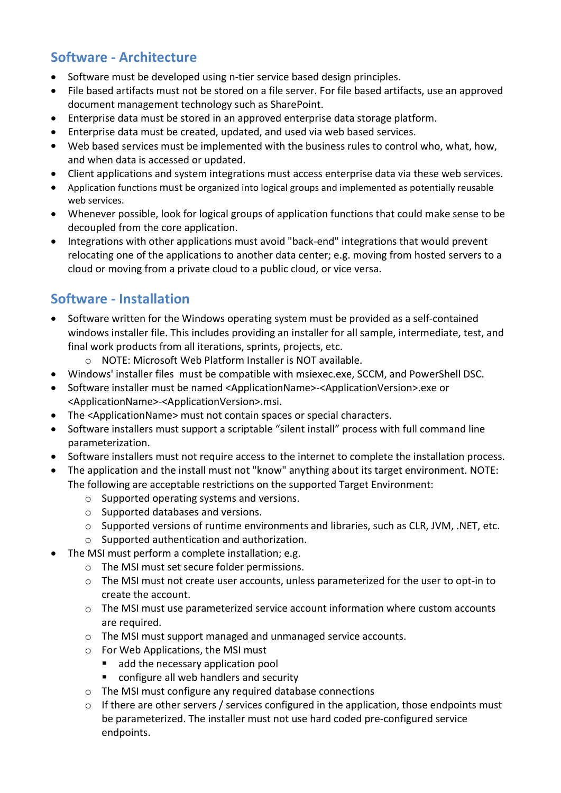### Software - Architecture

- Software must be developed using n-tier service based design principles.
- File based artifacts must not be stored on a file server. For file based artifacts, use an approved document management technology such as SharePoint.
- Enterprise data must be stored in an approved enterprise data storage platform.
- Enterprise data must be created, updated, and used via web based services.
- Web based services must be implemented with the business rules to control who, what, how, and when data is accessed or updated.
- Client applications and system integrations must access enterprise data via these web services.
- Application functions must be organized into logical groups and implemented as potentially reusable web services.
- Whenever possible, look for logical groups of application functions that could make sense to be decoupled from the core application.
- Integrations with other applications must avoid "back-end" integrations that would prevent relocating one of the applications to another data center; e.g. moving from hosted servers to a cloud or moving from a private cloud to a public cloud, or vice versa.

## Software - Installation

- Software written for the Windows operating system must be provided as a self-contained windows installer file. This includes providing an installer for all sample, intermediate, test, and final work products from all iterations, sprints, projects, etc.
	- o NOTE: Microsoft Web Platform Installer is NOT available.
- Windows' installer files must be compatible with msiexec.exe, SCCM, and PowerShell DSC.
- Software installer must be named <ApplicationName>-<ApplicationVersion>.exe or <ApplicationName>-<ApplicationVersion>.msi.
- The <ApplicationName> must not contain spaces or special characters.
- Software installers must support a scriptable "silent install" process with full command line parameterization.
- Software installers must not require access to the internet to complete the installation process.
- The application and the install must not "know" anything about its target environment. NOTE: The following are acceptable restrictions on the supported Target Environment:
	- o Supported operating systems and versions.
	- o Supported databases and versions.
	- $\circ$  Supported versions of runtime environments and libraries, such as CLR, JVM, .NET, etc.
	- o Supported authentication and authorization.
- The MSI must perform a complete installation; e.g.
	- o The MSI must set secure folder permissions.
	- o The MSI must not create user accounts, unless parameterized for the user to opt-in to create the account.
	- o The MSI must use parameterized service account information where custom accounts are required.
	- o The MSI must support managed and unmanaged service accounts.
	- o For Web Applications, the MSI must
		- add the necessary application pool
		- configure all web handlers and security
	- o The MSI must configure any required database connections
	- o If there are other servers / services configured in the application, those endpoints must be parameterized. The installer must not use hard coded pre-configured service endpoints.